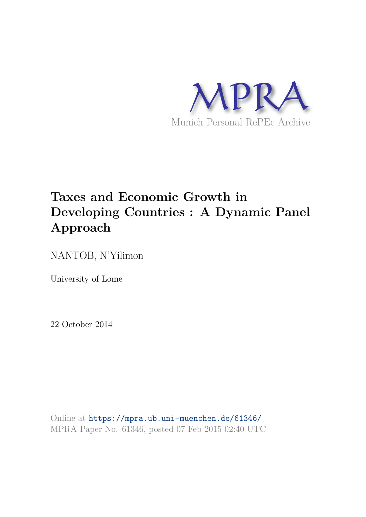

# **Taxes and Economic Growth in Developing Countries : A Dynamic Panel Approach**

NANTOB, N'Yilimon

University of Lome

22 October 2014

Online at https://mpra.ub.uni-muenchen.de/61346/ MPRA Paper No. 61346, posted 07 Feb 2015 02:40 UTC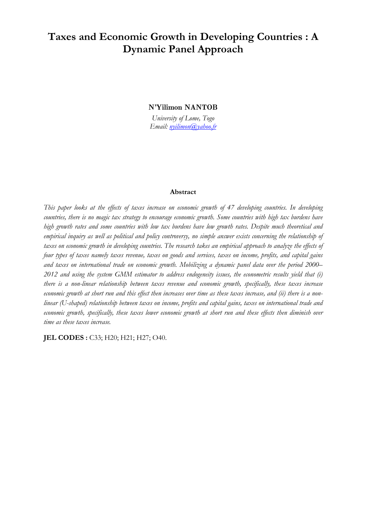## **Taxes and Economic Growth in Developing Countries : A Dynamic Panel Approach**

**N'Yilimon NANTOB**

*University of Lome, Togo Email: nyilimon@yahoo.fr*

#### **Abstract**

*This paper looks at the effects of taxes increase on economic growth of 47 developing countries. In developing countries, there is no magic tax strategy to encourage economic growth. Some countries with high tax burdens have high growth rates and some countries with low tax burdens have low growth rates. Despite much theoretical and empirical inquiry as well as political and policy controversy, no simple answer exists concerning the relationship of taxes on economic growth in developing countries. The research takes an empirical approach to analyze the effects of four types of taxes namely taxes revenue, taxes on goods and services, taxes on income, profits, and capital gains and taxes on international trade on economic growth. Mobilizing a dynamic panel data over the period 2000– 2012 and using the system GMM estimator to address endogeneity issues, the econometric results yield that (i) there is a non-linear relationship between taxes revenue and economic growth, specifically, these taxes increase economic growth at short run and this effect then increases over time as these taxes increase, and (ii) there is a nonlinear (U-shaped) relationship between taxes on income, profits and capital gains, taxes on international trade and economic growth, specifically, these taxes lower economic growth at short run and these effects then diminish over time as these taxes increase.* 

**JEL CODES**: C33; H20; H21; H27; O40.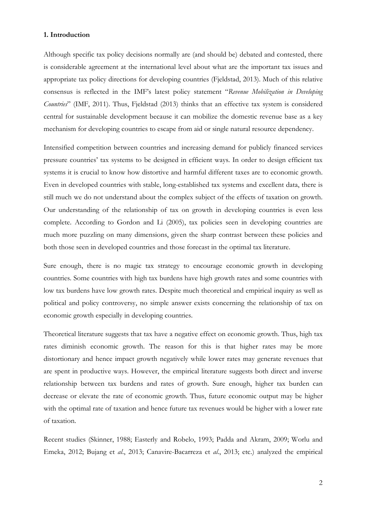#### **1. Introduction**

Although specific tax policy decisions normally are (and should be) debated and contested, there is considerable agreement at the international level about what are the important tax issues and appropriate tax policy directions for developing countries (Fjeldstad, 2013). Much of this relative consensus is reflected in the IMF's latest policy statement "*Revenue Mobilization in Developing Countries*" (IMF, 2011). Thus, Fjeldstad (2013) thinks that an effective tax system is considered central for sustainable development because it can mobilize the domestic revenue base as a key mechanism for developing countries to escape from aid or single natural resource dependency.

Intensified competition between countries and increasing demand for publicly financed services pressure countries' tax systems to be designed in efficient ways. In order to design efficient tax systems it is crucial to know how distortive and harmful different taxes are to economic growth. Even in developed countries with stable, long-established tax systems and excellent data, there is still much we do not understand about the complex subject of the effects of taxation on growth. Our understanding of the relationship of tax on growth in developing countries is even less complete. According to Gordon and Li (2005), tax policies seen in developing countries are much more puzzling on many dimensions, given the sharp contrast between these policies and both those seen in developed countries and those forecast in the optimal tax literature.

Sure enough, there is no magic tax strategy to encourage economic growth in developing countries. Some countries with high tax burdens have high growth rates and some countries with low tax burdens have low growth rates. Despite much theoretical and empirical inquiry as well as political and policy controversy, no simple answer exists concerning the relationship of tax on economic growth especially in developing countries.

Theoretical literature suggests that tax have a negative effect on economic growth. Thus, high tax rates diminish economic growth. The reason for this is that higher rates may be more distortionary and hence impact growth negatively while lower rates may generate revenues that are spent in productive ways. However, the empirical literature suggests both direct and inverse relationship between tax burdens and rates of growth. Sure enough, higher tax burden can decrease or elevate the rate of economic growth. Thus, future economic output may be higher with the optimal rate of taxation and hence future tax revenues would be higher with a lower rate of taxation.

Recent studies (Skinner, 1988; Easterly and Robelo, 1993; Padda and Akram, 2009; Worlu and Emeka, 2012; Bujang et *al*., 2013; Canavire-Bacarreza et *al*., 2013; etc.) analyzed the empirical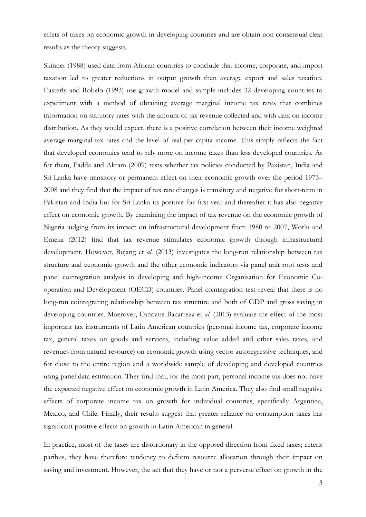effets of taxes on economic growth in developing countries and are obtain non consensual clear results as the theory suggests.

Skinner (1988) used data from African countries to conclude that income, corporate, and import taxation led to greater reductions in output growth than average export and sales taxation. Easterly and Robelo (1993) use growth model and sample includes 32 developing countries to experiment with a method of obtaining average marginal income tax rates that combines information on statutory rates with the amount of tax revenue collected and with data on income distribution. As they would expect, there is a positive correlation between their income weighted average marginal tax rates and the level of real per capita income. This simply reflects the fact that developed economies tend to rely more on income taxes than less developed countries. As for them, Padda and Akram (2009) tests whether tax policies conducted by Pakistan, India and Sri Lanka have transitory or permanent effect on their economic growth over the period 1973– 2008 and they find that the impact of tax rate changes is transitory and negative for short-term in Pakistan and India but for Sri Lanka its positive for first year and thereafter it has also negative effect on economic growth. By examining the impact of tax revenue on the economic growth of Nigeria judging from its impact on infrastructural development from 1980 to 2007, Worlu and Emeka (2012) find that tax revenue stimulates economic growth through infrastructural development. However, Bujang et *al*. (2013) investigates the long-run relationship between tax structure and economic growth and the other economic indicators via panel unit root tests and panel cointegration analysis in developing and high-income Organisation for Economic Cooperation and Development (OECD) countries. Panel cointegration test reveal that there is no long-run cointegrating relationship between tax structure and both of GDP and gross saving in developing countries. Moerover, Canavire-Bacarreza et *al*. (2013) evaluate the effect of the most important tax instruments of Latin American countries (personal income tax, corporate income tax, general taxes on goods and services, including value added and other sales taxes, and revenues from natural resource) on economic growth using vector autoregressive techniques, and for close to the entire region and a worldwide sample of developing and developed countries using panel data estimation. They find that, for the most part, personal income tax does not have the expected negative effect on economic growth in Latin America. They also find small negative effects of corporate income tax on growth for individual countries, specifically Argentina, Mexico, and Chile. Finally, their results suggest that greater reliance on consumption taxes has significant positive effects on growth in Latin American in general.

In practice, most of the taxes are distortionary in the opposed direction from fixed taxes; ceteris paribus, they have therefore tendency to deform resource allocation through their impact on saving and investment. However, the act that they have or not a perverse effect on growth in the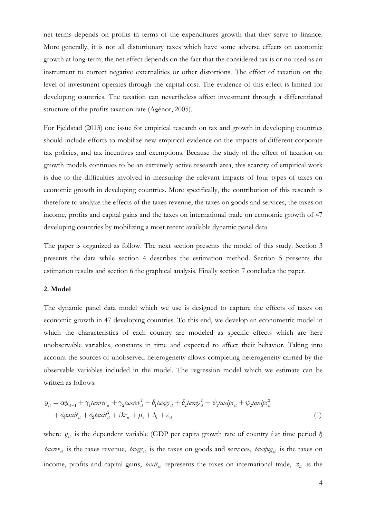net terms depends on profits in terms of the expenditures growth that they serve to finance. More generally, it is not all distortionary taxes which have some adverse effects on economic growth at long-term; the net effect depends on the fact that the considered tax is or no used as an instrument to correct negative externalities or other distortions. The effect of taxation on the level of investment operates through the capital cost. The evidence of this effect is limited for developing countries. The taxation can nevertheless affect investment through a differentiated structure of the profits taxation rate (Agénor, 2005).

For Fjeldstad (2013) one issue for empirical research on tax and growth in developing countries should include efforts to mobilize new empirical evidence on the impacts of different corporate tax policies, and tax incentives and exemptions. Because the study of the effect of taxation on growth models continues to be an extremely active research area, this scarcity of empirical work is due to the difficulties involved in measuring the relevant impacts of four types of taxes on economic growth in developing countries. More specifically, the contribution of this research is therefore to analyze the effects of the taxes revenue, the taxes on goods and services, the taxes on income, profits and capital gains and the taxes on international trade on economic growth of 47 developing countries by mobilizing a most recent available dynamic panel data

The paper is organized as follow. The next section presents the model of this study. Section 3 presents the data while section 4 describes the estimation method. Section 5 presents the estimation results and section 6 the graphical analysis. Finally section 7 concludes the paper.

#### **2. Model**

The dynamic panel data model which we use is designed to capture the effects of taxes on economic growth in 47 developing countries. To this end, we develop an econometric model in which the characteristics of each country are modeled as specific effects which are here unobservable variables, constants in time and expected to affect their behavior. Taking into account the sources of unobserved heterogeneity allows completing heterogeneity carried by the observable variables included in the model. The regression model which we estimate can be written as follows:

$$
y_{it} = \alpha y_{it-1} + \gamma_1 \text{taxrev}_{it} + \gamma_2 \text{taxrev}_{it}^2 + \delta_1 \text{taxgs}_{it} + \delta_2 \text{taxgs}_{it}^2 + \psi_1 \text{taxip}_{it} + \psi_2 \text{taxip}_{it}^2 + \phi_1 \text{taxit}_{it} + \phi_2 \text{taxit}_{it}^2 + \beta x_{it} + \mu_i + \lambda_t + \varepsilon_{it}
$$
\n
$$
\tag{1}
$$

where  $y_{it}$  is the dependent variable (GDP per capita growth rate of country *i* at time period *t*) *taxrev*<sub>it</sub> is the taxes revenue, *taxgs*<sub>it</sub> is the taxes on goods and services, *taxipcg*<sub>it</sub> is the taxes on income, profits and capital gains,  $\textit{taxit}_{it}$  represents the taxes on international trade,  $x_{it}$  is the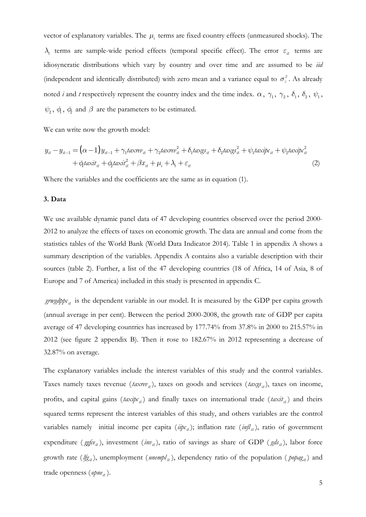vector of explanatory variables. The  $\mu_i$  terms are fixed country effects (unmeasured shocks). The  $\lambda_t$  terms are sample-wide period effects (temporal specific effect). The error  $\varepsilon_{it}$  terms are idiosyncratic distributions which vary by country and over time and are assumed to be *iid* (independent and identically distributed) with zero mean and a variance equal to  $\sigma_{\varepsilon}^2$ . As already noted *i* and *t* respectively represent the country index and the time index.  $\alpha$ ,  $\gamma_1$ ,  $\gamma_2$ ,  $\delta_1$ ,  $\delta_2$ ,  $\psi_1$ ,  $\psi_2$ ,  $\phi_1$ ,  $\phi_2$  and  $\beta$  are the parameters to be estimated.

We can write now the growth model:

$$
y_{it} - y_{it-1} = (\alpha - 1)y_{it-1} + \gamma_1 \text{taxrev}_{it} + \gamma_2 \text{taxrev}_{it}^2 + \delta_1 \text{taxgs}_{it} + \delta_2 \text{taxgs}_{it}^2 + \psi_1 \text{taxip}_{it} + \psi_2 \text{taxip}_{it}^2
$$
  
+  $\phi_1 \text{taxit}_{it} + \phi_2 \text{taxit}_{it}^2 + \beta x_{it} + \mu_i + \lambda_t + \varepsilon_{it}$  (2)

Where the variables and the coefficients are the same as in equation (1).

#### **3. Data**

We use available dynamic panel data of 47 developing countries observed over the period 2000- 2012 to analyze the effects of taxes on economic growth. The data are annual and come from the statistics tables of the World Bank (World Data Indicator 2014). Table 1 in appendix A shows a summary description of the variables. Appendix A contains also a variable description with their sources (table 2). Further, a list of the 47 developing countries (18 of Africa, 14 of Asia, 8 of Europe and 7 of America) included in this study is presented in appendix C.

 $grwgdp_{\mathcal{E}_{it}}$  is the dependent variable in our model. It is measured by the GDP per capita growth (annual average in per cent). Between the period 2000-2008, the growth rate of GDP per capita average of 47 developing countries has increased by 177.74% from 37.8% in 2000 to 215.57% in 2012 (see figure 2 appendix B). Then it rose to 182.67% in 2012 representing a decrease of 32.87% on average.

The explanatory variables include the interest variables of this study and the control variables. Taxes namely taxes revenue ( $\text{taxrev}_{it}$ ), taxes on goods and services ( $\text{taxgs}_{it}$ ), taxes on income, profits, and capital gains ( $\text{taxip}_{t}$ ) and finally taxes on international trade ( $\text{taxit}_{it}$ ) and theirs squared terms represent the interest variables of this study, and others variables are the control variables namely initial income per capita ( $ii p c_{ii}$ ); inflation rate ( $i n f_{ii}$ ), ratio of government expenditure (*ggfce<sub>it</sub>*), investment (*inv*<sub>it</sub>), ratio of savings as share of GDP ( $gds$ <sub>it</sub>), labor force growth rate  $(f_{\xi}^i)$ , unemployment (*unempl<sub>it</sub>*), dependency ratio of the population (*popag<sub>it</sub>*) and trade openness (*opne*<sub>it</sub>).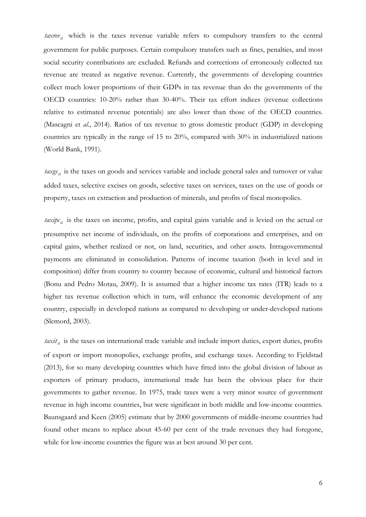$\textit{taxrev}_{it}$  which is the taxes revenue variable refers to compulsory transfers to the central government for public purposes. Certain compulsory transfers such as fines, penalties, and most social security contributions are excluded. Refunds and corrections of erroneously collected tax revenue are treated as negative revenue. Currently, the governments of developing countries collect much lower proportions of their GDPs in tax revenue than do the governments of the OECD countries: 10-20% rather than 30-40%. Their tax effort indices (revenue collections relative to estimated revenue potentials) are also lower than those of the OECD countries. (Mascagni et *al*., 2014). Ratios of tax revenue to gross domestic product (GDP) in developing countries are typically in the range of 15 to 20%, compared with 30% in industrialized nations (World Bank, 1991).

*it taxgs* is the taxes on goods and services variable and include general sales and turnover or value added taxes, selective excises on goods, selective taxes on services, taxes on the use of goods or property, taxes on extraction and production of minerals, and profits of fiscal monopolies.

*taxipc<sub>it</sub>* is the taxes on income, profits, and capital gains variable and is levied on the actual or presumptive net income of individuals, on the profits of corporations and enterprises, and on capital gains, whether realized or not, on land, securities, and other assets. Intragovernmental payments are eliminated in consolidation. Patterns of income taxation (both in level and in composition) differ from country to country because of economic, cultural and historical factors (Bonu and Pedro Motau, 2009). It is assumed that a higher income tax rates (ITR) leads to a higher tax revenue collection which in turn, will enhance the economic development of any country, especially in developed nations as compared to developing or under-developed nations (Slemord, 2003).

*taxit<sub>it</sub>* is the taxes on international trade variable and include import duties, export duties, profits of export or import monopolies, exchange profits, and exchange taxes. According to Fjeldstad (2013), for so many developing countries which have fitted into the global division of labour as exporters of primary products, international trade has been the obvious place for their governments to gather revenue. In 1975, trade taxes were a very minor source of government revenue in high income countries, but were significant in both middle and low-income countries. Baunsgaard and Keen (2005) estimate that by 2000 governments of middle-income countries had found other means to replace about 45-60 per cent of the trade revenues they had foregone, while for low-income countries the figure was at best around 30 per cent.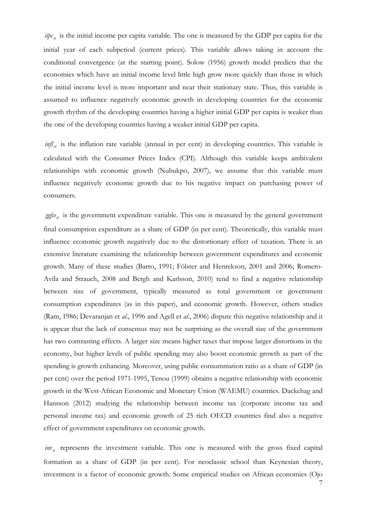$i\psi c_{it}$  is the initial income per capita variable. The one is measured by the GDP per capita for the initial year of each subperiod (current prices). This variable allows taking in account the conditional convergence (at the starting point). Solow (1956) growth model predicts that the economies which have an initial income level little high grow more quickly than those in which the initial income level is more important and near their stationary state. Thus, this variable is assumed to influence negatively economic growth in developing countries for the economic growth rhythm of the developing countries having a higher initial GDP per capita is weaker than the one of the developing countries having a weaker initial GDP per capita.

*infl<sub>it</sub>* is the inflation rate variable (annual in per cent) in developing countries. This variable is calculated with the Consumer Prices Index (CPI). Although this variable keeps ambivalent relationships with economic growth (Nubukpo, 2007), we assume that this variable must influence negatively economic growth due to his negative impact on purchasing power of consumers.

ggfce<sub>it</sub> is the government expenditure variable. This one is measured by the general government final consumption expenditure as a share of GDP (in per cent). Theoretically, this variable must influence economic growth negatively due to the distortionary effect of taxation. There is an extensive literature examining the relationship between government expenditures and economic growth. Many of these studies (Barro, 1991; Fölster and Henrekson, 2001 and 2006; Romero-Avila and Strauch, 2008 and Bergh and Karlsson, 2010) tend to find a negative relationship between size of government, typically measured as total government or government consumption expenditures (as in this paper), and economic growth. However, others studies (Ram, 1986; Devaranjan et *al.*, 1996 and Agell et *al.*, 2006) dispute this negative relationship and it is appear that the lack of consensus may not be surprising as the overall size of the government has two contrasting effects. A larger size means higher taxes that impose larger distortions in the economy, but higher levels of public spending may also boost economic growth as part of the spending is growth enhancing. Moreover, using public consummation ratio as a share of GDP (in per cent) over the period 1971-1995, Tenou (1999) obtains a negative relationship with economic growth in the West-African Economic and Monetary Union (WAEMU) countries. Dackehag and Hansson (2012) studying the relationship between income tax (corporate income tax and personal income tax) and economic growth of 25 rich OECD countries find also a negative effect of government expenditures on economic growth.

 $inv_{it}$  represents the investment variable. This one is measured with the gross fixed capital formation as a share of GDP (in per cent). For neoclassic school than Keynesian theory, investment is a factor of economic growth. Some empirical studies on African economies (Ojo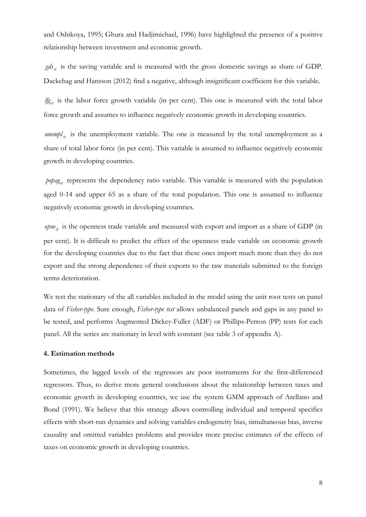and Oshikoya, 1995; Ghura and Hadjimichael, 1996) have highlighted the presence of a positive relationship between investment and economic growth.

 $g d_{i_t}$  is the saving variable and is measured with the gross domestic savings as share of GDP. Dackehag and Hansson (2012) find a negative, although insignificant coefficient for this variable.

*if*<sub> $g_{it}$ </sub> is the labor force growth variable (in per cent). This one is measured with the total labor force growth and assumes to influence negatively economic growth in developing countries.

*unempl<sub>it</sub>* is the unemployment variable. The one is measured by the total unemployment as a share of total labor force (in per cent). This variable is assumed to influence negatively economic growth in developing countries.

 $p_{0}$ *popag<sub>it</sub>* represents the dependency ratio variable. This variable is measured with the population aged 0-14 and upper 65 as a share of the total population. This one is assumed to influence negatively economic growth in developing countries.

*opne<sub>it</sub>* is the openness trade variable and measured with export and import as a share of GDP (in per cent). It is difficult to predict the effect of the openness trade variable on economic growth for the developing countries due to the fact that these ones import much more than they do not export and the strong dependence of their exports to the raw materials submitted to the foreign terms deterioration.

We test the stationary of the all variables included in the model using the unit root tests on panel data of *Fisher-type*. Sure enough, *Fisher-type test* allows unbalanced panels and gaps in any panel to be tested, and performs Augmented Dickey-Fuller (ADF) or Phillips-Perron (PP) tests for each panel. All the series are stationary in level with constant (see table 3 of appendix A).

#### **4. Estimation methods**

Sometimes, the lagged levels of the regressors are poor instruments for the first-differenced regressors. Thus, to derive more general conclusions about the relationship between taxes and economic growth in developing countries, we use the system GMM approach of Arellano and Bond (1991). We believe that this strategy allows controlling individual and temporal specifics effects with short-run dynamics and solving variables endogeneity bias, simultaneous bias, inverse causality and omitted variables problems and provides more precise estimates of the effects of taxes on economic growth in developing countries.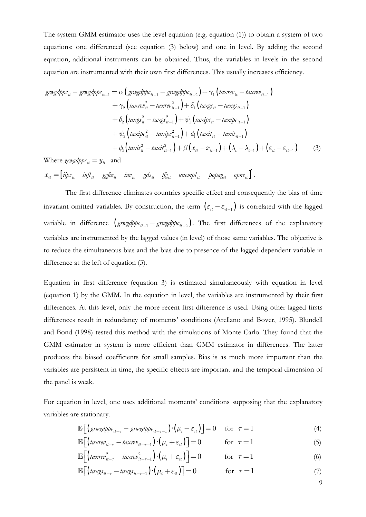The system GMM estimator uses the level equation (e.g. equation (1)) to obtain a system of two equations: one differenced (see equation (3) below) and one in level. By adding the second equation, additional instruments can be obtained. Thus, the variables in levels in the second equation are instrumented with their own first differences. This usually increases efficiency.

$$
grwgdppc_{it} - grwgdppc_{it-1} = \alpha \left( grwgdppc_{it-1} - grwgdppc_{it-2} \right) + \gamma_1 \left( taxrev_{it} - taxrev_{it-1} \right) + \gamma_2 \left( taxrev_{it}^2 - taxrev_{it-1}^2 \right) + \delta_1 \left( taxgs_{it} - taxgs_{it-1} \right) + \delta_2 \left( taxgs_{it}^2 - taxgs_{it-1}^2 \right) + \psi_1 \left( taxipc_{it} - taxipc_{it-1} \right) + \psi_2 \left( taxipc_{it}^2 - taxipc_{it-1}^2 \right) + \phi_1 \left( taxit_{it} - taxit_{it-1} \right) + \phi_2 \left( taxit_{it}^2 - taxit_{it-1}^2 \right) + \beta \left( x_{it} - x_{it-1} \right) + \left( \lambda_t - \lambda_{t-1} \right) + \left( \varepsilon_{it} - \varepsilon_{it-1} \right)
$$
(3)

Where  $\text{grwgdppc}_{it} = y_{it}$  and

 $x_{it} = \begin{bmatrix} iipc_{it} & infl_{it} & ggfc_{it} & inv_{it} & gds_{it} & lfg_{it} & unempl_{it} & popag_{it} & opne_{it} \end{bmatrix}$ 

The first difference eliminates countries specific effect and consequently the bias of time invariant omitted variables. By construction, the term  $(\varepsilon_{it} - \varepsilon_{it-1})$  is correlated with the lagged variable in difference  $(g\imath y d p c_{it-1} - g\imath y d p c_{it-2})$ . The first differences of the explanatory variables are instrumented by the lagged values (in level) of those same variables. The objective is to reduce the simultaneous bias and the bias due to presence of the lagged dependent variable in difference at the left of equation (3).

Equation in first difference (equation 3) is estimated simultaneously with equation in level (equation 1) by the GMM. In the equation in level, the variables are instrumented by their first differences. At this level, only the more recent first difference is used. Using other lagged firsts differences result in redundancy of moments' conditions (Arellano and Bover, 1995). Blundell and Bond (1998) tested this method with the simulations of Monte Carlo. They found that the GMM estimator in system is more efficient than GMM estimator in differences. The latter produces the biased coefficients for small samples. Bias is as much more important than the variables are persistent in time, the specific effects are important and the temporal dimension of the panel is weak.

For equation in level, one uses additional moments' conditions supposing that the explanatory variables are stationary.

$$
\mathbb{E}\Big[\Big(\text{grwydpp}\varepsilon_{it-\tau} - \text{grwydpp}\varepsilon_{it-\tau-1}\Big) \cdot \Big(\mu_i + \varepsilon_{it}\Big)\Big] = 0 \quad \text{for} \quad \tau = 1 \tag{4}
$$

$$
\mathbb{E}\Big[\big(taxrev_{it-\tau}-taxrev_{it-\tau-1}\big)\cdot\big(\mu_i+\varepsilon_{it}\big)\Big]=0\qquad\text{for }\tau=1\tag{5}
$$

$$
\mathbb{E}\Big[\Big(taxrev_{it-\tau}^2 - taxrev_{it-\tau-1}^2\Big)\cdot \Big(\mu_i + \varepsilon_{it}\Big)\Big] = 0 \qquad \text{for } \tau = 1 \tag{6}
$$

$$
\mathbb{E}\Big[\big(t\text{arg} s_{it-\tau} - t\text{arg} s_{it-\tau-1}\big)\cdot \big(\mu_i + \varepsilon_{it}\big)\Big] = 0 \qquad \text{for } \tau = 1 \tag{7}
$$

9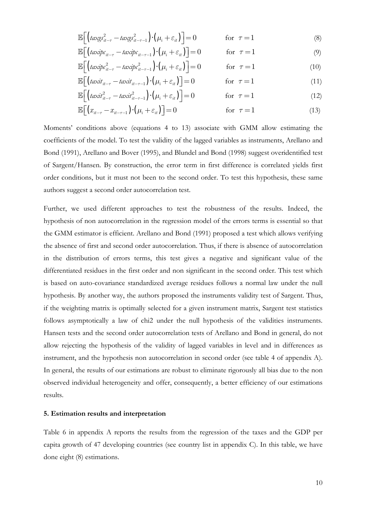$$
\mathbb{E}\Big[\Big(t\alpha x g s_{it-\tau}^2 - t\alpha x g s_{it-\tau-1}^2\Big) \cdot \Big(\mu_i + \varepsilon_{it}\Big)\Big] = 0 \qquad \text{for } \tau = 1 \tag{8}
$$

$$
\mathbb{E}\Big[\big(taxip_{t_{it-\tau}}-taxip_{t_{it-\tau-1}}\big)\cdot\big(\mu_i+\varepsilon_{it}\big)\Big]=0\qquad\text{for }\tau=1\tag{9}
$$

$$
\mathbb{E}\Big[\Big(taxip_{it-\tau}-taxip_{it-\tau-1}\Big)\cdot\Big(\mu_i+\varepsilon_{it}\Big)\Big]=0 \qquad \text{for } \tau=1
$$
 (10)

$$
\mathbb{E}\Big[\big(taxit_{it-\tau}-taxit_{it-\tau-1}\big)\cdot\big(\mu_i+\varepsilon_{it}\big)\Big]=0\qquad\qquad\text{for }\tau=1\tag{11}
$$

$$
\mathbb{E}\bigg[\big(taxit_{it-\tau}^2 - taxit_{it-\tau-1}^2\big)\cdot\big(\mu_i + \varepsilon_{it}\big)\bigg] = 0 \qquad \text{for } \tau = 1 \tag{12}
$$

$$
\mathbb{E}\Big[\big(x_{it-\tau} - x_{it-\tau-1}\big) \cdot \big(\mu_i + \varepsilon_{it}\big)\Big] = 0 \qquad \qquad \text{for } \tau = 1 \tag{13}
$$

Moments' conditions above (equations 4 to 13) associate with GMM allow estimating the coefficients of the model. To test the validity of the lagged variables as instruments, Arellano and Bond (1991), Arellano and Bover (1995), and Blundel and Bond (1998) suggest overidentified test of Sargent/Hansen. By construction, the error term in first difference is correlated yields first order conditions, but it must not been to the second order. To test this hypothesis, these same authors suggest a second order autocorrelation test.

Further, we used different approaches to test the robustness of the results. Indeed, the hypothesis of non autocorrelation in the regression model of the errors terms is essential so that the GMM estimator is efficient. Arellano and Bond (1991) proposed a test which allows verifying the absence of first and second order autocorrelation. Thus, if there is absence of autocorrelation in the distribution of errors terms, this test gives a negative and significant value of the differentiated residues in the first order and non significant in the second order. This test which is based on auto-covariance standardized average residues follows a normal law under the null hypothesis. By another way, the authors proposed the instruments validity test of Sargent. Thus, if the weighting matrix is optimally selected for a given instrument matrix, Sargent test statistics follows asymptotically a law of chi2 under the null hypothesis of the validities instruments. Hansen tests and the second order autocorrelation tests of Arellano and Bond in general, do not allow rejecting the hypothesis of the validity of lagged variables in level and in differences as instrument, and the hypothesis non autocorrelation in second order (see table 4 of appendix A). In general, the results of our estimations are robust to eliminate rigorously all bias due to the non observed individual heterogeneity and offer, consequently, a better efficiency of our estimations results.

#### **5. Estimation results and interpretation**

Table 6 in appendix A reports the results from the regression of the taxes and the GDP per capita growth of 47 developing countries (see country list in appendix C). In this table, we have done eight (8) estimations.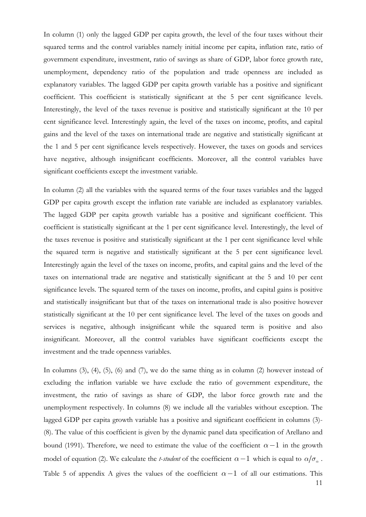In column (1) only the lagged GDP per capita growth, the level of the four taxes without their squared terms and the control variables namely initial income per capita, inflation rate, ratio of government expenditure, investment, ratio of savings as share of GDP, labor force growth rate, unemployment, dependency ratio of the population and trade openness are included as explanatory variables. The lagged GDP per capita growth variable has a positive and significant coefficient. This coefficient is statistically significant at the 5 per cent significance levels. Interestingly, the level of the taxes revenue is positive and statistically significant at the 10 per cent significance level. Interestingly again, the level of the taxes on income, profits, and capital gains and the level of the taxes on international trade are negative and statistically significant at the 1 and 5 per cent significance levels respectively. However, the taxes on goods and services have negative, although insignificant coefficients. Moreover, all the control variables have significant coefficients except the investment variable.

In column (2) all the variables with the squared terms of the four taxes variables and the lagged GDP per capita growth except the inflation rate variable are included as explanatory variables. The lagged GDP per capita growth variable has a positive and significant coefficient. This coefficient is statistically significant at the 1 per cent significance level. Interestingly, the level of the taxes revenue is positive and statistically significant at the 1 per cent significance level while the squared term is negative and statistically significant at the 5 per cent significance level. Interestingly again the level of the taxes on income, profits, and capital gains and the level of the taxes on international trade are negative and statistically significant at the 5 and 10 per cent significance levels. The squared term of the taxes on income, profits, and capital gains is positive and statistically insignificant but that of the taxes on international trade is also positive however statistically significant at the 10 per cent significance level. The level of the taxes on goods and services is negative, although insignificant while the squared term is positive and also insignificant. Moreover, all the control variables have significant coefficients except the investment and the trade openness variables.

In columns  $(3)$ ,  $(4)$ ,  $(5)$ ,  $(6)$  and  $(7)$ , we do the same thing as in column  $(2)$  however instead of excluding the inflation variable we have exclude the ratio of government expenditure, the investment, the ratio of savings as share of GDP, the labor force growth rate and the unemployment respectively. In columns (8) we include all the variables without exception. The lagged GDP per capita growth variable has a positive and significant coefficient in columns (3)-(8). The value of this coefficient is given by the dynamic panel data specification of Arellano and bound (1991). Therefore, we need to estimate the value of the coefficient  $\alpha-1$  in the growth model of equation (2). We calculate the *t-student* of the coefficient  $\alpha - 1$  which is equal to  $\alpha / \sigma_{\alpha}$ . Table 5 of appendix A gives the values of the coefficient  $\alpha-1$  of all our estimations. This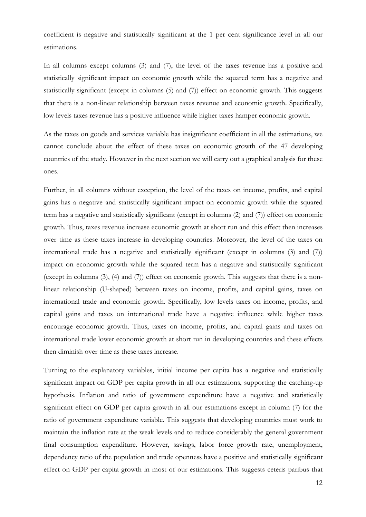coefficient is negative and statistically significant at the 1 per cent significance level in all our estimations.

In all columns except columns (3) and (7), the level of the taxes revenue has a positive and statistically significant impact on economic growth while the squared term has a negative and statistically significant (except in columns (5) and (7)) effect on economic growth. This suggests that there is a non-linear relationship between taxes revenue and economic growth. Specifically, low levels taxes revenue has a positive influence while higher taxes hamper economic growth.

As the taxes on goods and services variable has insignificant coefficient in all the estimations, we cannot conclude about the effect of these taxes on economic growth of the 47 developing countries of the study. However in the next section we will carry out a graphical analysis for these ones.

Further, in all columns without exception, the level of the taxes on income, profits, and capital gains has a negative and statistically significant impact on economic growth while the squared term has a negative and statistically significant (except in columns (2) and (7)) effect on economic growth. Thus, taxes revenue increase economic growth at short run and this effect then increases over time as these taxes increase in developing countries. Moreover, the level of the taxes on international trade has a negative and statistically significant (except in columns (3) and (7)) impact on economic growth while the squared term has a negative and statistically significant (except in columns (3), (4) and (7)) effect on economic growth. This suggests that there is a nonlinear relationship (U-shaped) between taxes on income, profits, and capital gains, taxes on international trade and economic growth. Specifically, low levels taxes on income, profits, and capital gains and taxes on international trade have a negative influence while higher taxes encourage economic growth. Thus, taxes on income, profits, and capital gains and taxes on international trade lower economic growth at short run in developing countries and these effects then diminish over time as these taxes increase.

Turning to the explanatory variables, initial income per capita has a negative and statistically significant impact on GDP per capita growth in all our estimations, supporting the catching-up hypothesis. Inflation and ratio of government expenditure have a negative and statistically significant effect on GDP per capita growth in all our estimations except in column (7) for the ratio of government expenditure variable. This suggests that developing countries must work to maintain the inflation rate at the weak levels and to reduce considerably the general government final consumption expenditure. However, savings, labor force growth rate, unemployment, dependency ratio of the population and trade openness have a positive and statistically significant effect on GDP per capita growth in most of our estimations. This suggests ceteris paribus that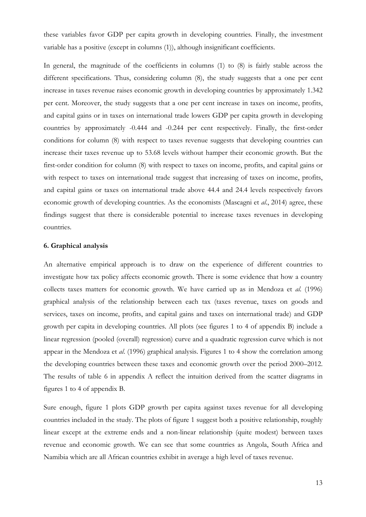these variables favor GDP per capita growth in developing countries. Finally, the investment variable has a positive (except in columns (1)), although insignificant coefficients.

In general, the magnitude of the coefficients in columns (1) to (8) is fairly stable across the different specifications. Thus, considering column  $(8)$ , the study suggests that a one per cent increase in taxes revenue raises economic growth in developing countries by approximately 1.342 per cent. Moreover, the study suggests that a one per cent increase in taxes on income, profits, and capital gains or in taxes on international trade lowers GDP per capita growth in developing countries by approximately -0.444 and -0.244 per cent respectively. Finally, the first-order conditions for column (8) with respect to taxes revenue suggests that developing countries can increase their taxes revenue up to 53.68 levels without hamper their economic growth. But the first-order condition for column (8) with respect to taxes on income, profits, and capital gains or with respect to taxes on international trade suggest that increasing of taxes on income, profits, and capital gains or taxes on international trade above 44.4 and 24.4 levels respectively favors economic growth of developing countries. As the economists (Mascagni et *al*., 2014) agree, these findings suggest that there is considerable potential to increase taxes revenues in developing countries.

#### **6. Graphical analysis**

An alternative empirical approach is to draw on the experience of different countries to investigate how tax policy affects economic growth. There is some evidence that how a country collects taxes matters for economic growth. We have carried up as in Mendoza et *al*. (1996) graphical analysis of the relationship between each tax (taxes revenue, taxes on goods and services, taxes on income, profits, and capital gains and taxes on international trade) and GDP growth per capita in developing countries. All plots (see figures 1 to 4 of appendix B) include a linear regression (pooled (overall) regression) curve and a quadratic regression curve which is not appear in the Mendoza et *al*. (1996) graphical analysis. Figures 1 to 4 show the correlation among the developing countries between these taxes and economic growth over the period 2000–2012. The results of table 6 in appendix A reflect the intuition derived from the scatter diagrams in figures 1 to 4 of appendix B.

Sure enough, figure 1 plots GDP growth per capita against taxes revenue for all developing countries included in the study. The plots of figure 1 suggest both a positive relationship, roughly linear except at the extreme ends and a non-linear relationship (quite modest) between taxes revenue and economic growth. We can see that some countries as Angola, South Africa and Namibia which are all African countries exhibit in average a high level of taxes revenue.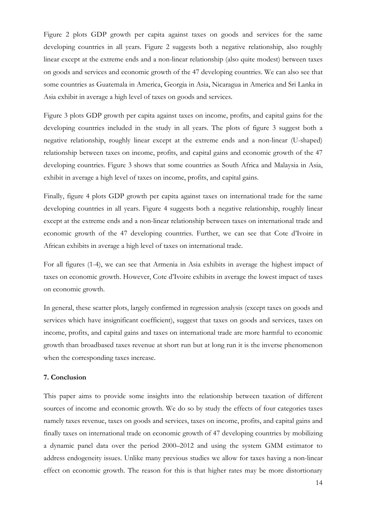Figure 2 plots GDP growth per capita against taxes on goods and services for the same developing countries in all years. Figure 2 suggests both a negative relationship, also roughly linear except at the extreme ends and a non-linear relationship (also quite modest) between taxes on goods and services and economic growth of the 47 developing countries. We can also see that some countries as Guatemala in America, Georgia in Asia, Nicaragua in America and Sri Lanka in Asia exhibit in average a high level of taxes on goods and services.

Figure 3 plots GDP growth per capita against taxes on income, profits, and capital gains for the developing countries included in the study in all years. The plots of figure 3 suggest both a negative relationship, roughly linear except at the extreme ends and a non-linear (U-shaped) relationship between taxes on income, profits, and capital gains and economic growth of the 47 developing countries. Figure 3 shows that some countries as South Africa and Malaysia in Asia, exhibit in average a high level of taxes on income, profits, and capital gains.

Finally, figure 4 plots GDP growth per capita against taxes on international trade for the same developing countries in all years. Figure 4 suggests both a negative relationship, roughly linear except at the extreme ends and a non-linear relationship between taxes on international trade and economic growth of the 47 developing countries. Further, we can see that Cote d'Ivoire in African exhibits in average a high level of taxes on international trade.

For all figures (1-4), we can see that Armenia in Asia exhibits in average the highest impact of taxes on economic growth. However, Cote d'Ivoire exhibits in average the lowest impact of taxes on economic growth.

In general, these scatter plots, largely confirmed in regression analysis (except taxes on goods and services which have insignificant coefficient), suggest that taxes on goods and services, taxes on income, profits, and capital gains and taxes on international trade are more harmful to economic growth than broadbased taxes revenue at short run but at long run it is the inverse phenomenon when the corresponding taxes increase.

#### **7. Conclusion**

This paper aims to provide some insights into the relationship between taxation of different sources of income and economic growth. We do so by study the effects of four categories taxes namely taxes revenue, taxes on goods and services, taxes on income, profits, and capital gains and finally taxes on international trade on economic growth of 47 developing countries by mobilizing a dynamic panel data over the period 2000–2012 and using the system GMM estimator to address endogeneity issues. Unlike many previous studies we allow for taxes having a non-linear effect on economic growth. The reason for this is that higher rates may be more distortionary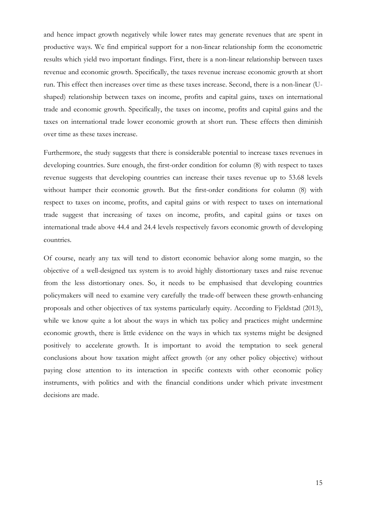and hence impact growth negatively while lower rates may generate revenues that are spent in productive ways. We find empirical support for a non-linear relationship form the econometric results which yield two important findings. First, there is a non-linear relationship between taxes revenue and economic growth. Specifically, the taxes revenue increase economic growth at short run. This effect then increases over time as these taxes increase. Second, there is a non-linear (Ushaped) relationship between taxes on income, profits and capital gains, taxes on international trade and economic growth. Specifically, the taxes on income, profits and capital gains and the taxes on international trade lower economic growth at short run. These effects then diminish over time as these taxes increase.

Furthermore, the study suggests that there is considerable potential to increase taxes revenues in developing countries. Sure enough, the first-order condition for column (8) with respect to taxes revenue suggests that developing countries can increase their taxes revenue up to 53.68 levels without hamper their economic growth. But the first-order conditions for column (8) with respect to taxes on income, profits, and capital gains or with respect to taxes on international trade suggest that increasing of taxes on income, profits, and capital gains or taxes on international trade above 44.4 and 24.4 levels respectively favors economic growth of developing countries.

Of course, nearly any tax will tend to distort economic behavior along some margin, so the objective of a well-designed tax system is to avoid highly distortionary taxes and raise revenue from the less distortionary ones. So, it needs to be emphasised that developing countries policymakers will need to examine very carefully the trade-off between these growth-enhancing proposals and other objectives of tax systems particularly equity. According to Fjeldstad (2013), while we know quite a lot about the ways in which tax policy and practices might undermine economic growth, there is little evidence on the ways in which tax systems might be designed positively to accelerate growth. It is important to avoid the temptation to seek general conclusions about how taxation might affect growth (or any other policy objective) without paying close attention to its interaction in specific contexts with other economic policy instruments, with politics and with the financial conditions under which private investment decisions are made.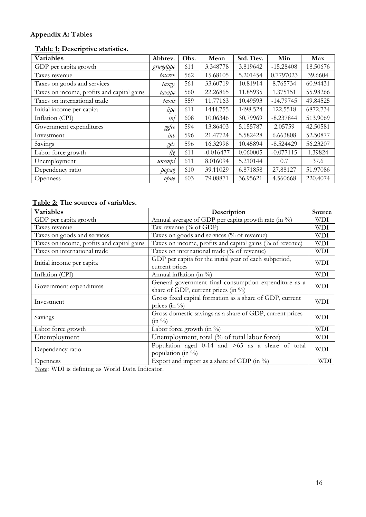## **Appendix A: Tables**

## **Table 1: Descriptive statistics.**

| <b>Variables</b>                           | Abbrev.  | Obs. | Mean        | Std. Dev. | Min         | Max      |
|--------------------------------------------|----------|------|-------------|-----------|-------------|----------|
| GDP per capita growth                      | grwgdppc | 611  | 3.348778    | 3.819642  | $-15.28408$ | 18.50676 |
| Taxes revenue                              | taxrev   | 562  | 15.68105    | 5.201454  | 0.7797023   | 39.6604  |
| Taxes on goods and services                | taxgs    | 561  | 33.60719    | 10.81914  | 8.765734    | 60.94431 |
| Taxes on income, profits and capital gains | taxipc   | 560  | 22.26865    | 11.85935  | 1.375151    | 55.98266 |
| Taxes on international trade               | taxit    | 559  | 11.77163    | 10.49593  | $-14.79745$ | 49.84525 |
| Initial income per capita                  | iipc     | 611  | 1444.755    | 1498.524  | 122.5518    | 6872.734 |
| Inflation (CPI)                            | inf      | 608  | 10.06346    | 30.79969  | $-8.237844$ | 513.9069 |
| Government expenditures                    | ggfæ     | 594  | 13.86403    | 5.155787  | 2.05759     | 42.50581 |
| Investment                                 | inv      | 596  | 21.47724    | 5.582428  | 6.663808    | 52.50877 |
| Savings                                    | gds      | 596  | 16.32998    | 10.45894  | $-8.524429$ | 56.23207 |
| Labor force growth                         | lfg      | 611  | $-0.016477$ | 0.060005  | $-0.077115$ | 1.39824  |
| Unemployment                               | unempl   | 611  | 8.016094    | 5.210144  | 0.7         | 37.6     |
| Dependency ratio                           | popag    | 610  | 39.11029    | 6.871858  | 27.88127    | 51.97086 |
| <b>Openness</b>                            | opne     | 603  | 79.08871    | 36.95621  | 4.560668    | 220.4074 |

## **Table 2: The sources of variables.**

| Variables                                  | Description                                                                                      | Source     |
|--------------------------------------------|--------------------------------------------------------------------------------------------------|------------|
| GDP per capita growth                      | Annual average of GDP per capita growth rate (in %)                                              | WDI        |
| Taxes revenue                              | Tax revenue (% of GDP)                                                                           | WDI        |
| Taxes on goods and services                | Taxes on goods and services (% of revenue)                                                       | <b>WDI</b> |
| Taxes on income, profits and capital gains | Taxes on income, profits and capital gains (% of revenue)                                        | WDI        |
| Taxes on international trade               | Taxes on international trade (% of revenue)                                                      | WDI        |
| Initial income per capita                  | GDP per capita for the initial year of each subperiod,<br>current prices                         | <b>WDI</b> |
| Inflation (CPI)                            | Annual inflation (in $\%$ )                                                                      | <b>WDI</b> |
| Government expenditures                    | General government final consumption expenditure as a<br>share of GDP, current prices (in $\%$ ) | <b>WDI</b> |
| Investment                                 | Gross fixed capital formation as a share of GDP, current<br>prices (in $\%$ )                    | <b>WDI</b> |
| Savings                                    | Gross domestic savings as a share of GDP, current prices<br>$(in \frac{0}{0})$                   | <b>WDI</b> |
| Labor force growth                         | Labor force growth (in $\%$ )                                                                    | WDI        |
| Unemployment                               | Unemployment, total (% of total labor force)                                                     | WDI        |
| Dependency ratio                           | Population aged 0-14 and >65 as a share of total<br>population (in %)                            | <b>WDI</b> |
| <b>Openness</b>                            | Export and import as a share of GDP (in $\%$ )                                                   | <b>WDI</b> |

Note: WDI is defining as World Data Indicator.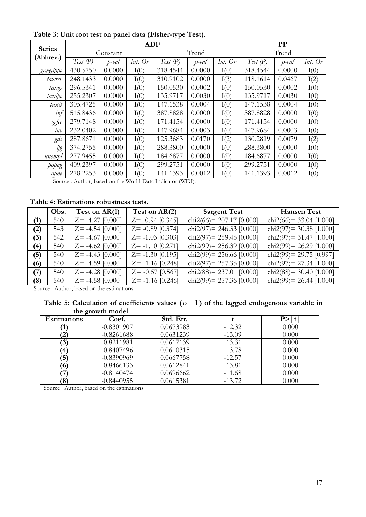|               | <b>ADF</b> |               |           |          |        |           | PP       |        |         |  |
|---------------|------------|---------------|-----------|----------|--------|-----------|----------|--------|---------|--|
| <b>Series</b> | Constant   |               |           | Trend    |        |           | Trend    |        |         |  |
| (Abbrev.)     | Test(P)    | $_{\text{t}}$ | Int. $Or$ | Test(P)  | p-val  | Int. $Or$ | Test(P)  | p-val  | Int. Or |  |
| grwgdppc      | 430.5750   | 0.0000        | I(0)      | 318.4544 | 0.0000 | I(0)      | 318.4544 | 0.0000 | I(0)    |  |
| taxrev        | 248.1433   | 0.0000        | I(0)      | 310.9102 | 0.0000 | I(3)      | 118.1614 | 0.0467 | I(2)    |  |
| taxgs         | 296.5341   | 0.0000        | I(0)      | 150.0530 | 0.0002 | I(0)      | 150.0530 | 0.0002 | I(0)    |  |
| taxipc        | 255.2307   | 0.0000        | I(0)      | 135.9717 | 0.0030 | I(0)      | 135.9717 | 0.0030 | I(0)    |  |
| taxit         | 305.4725   | 0.0000        | I(0)      | 147.1538 | 0.0004 | I(0)      | 147.1538 | 0.0004 | I(0)    |  |
| inf           | 515.8436   | 0.0000        | I(0)      | 387.8828 | 0.0000 | I(0)      | 387.8828 | 0.0000 | I(0)    |  |
| ggfce         | 279.7148   | 0.0000        | I(0)      | 171.4154 | 0.0000 | I(0)      | 171.4154 | 0.0000 | I(0)    |  |
| inv           | 232.0402   | 0.0000        | I(0)      | 147.9684 | 0.0003 | I(0)      | 147.9684 | 0.0003 | I(0)    |  |
| gds           | 287.8671   | 0.0000        | I(0)      | 125.3683 | 0.0170 | I(2)      | 130.2819 | 0.0079 | I(2)    |  |
| lfg           | 374.2755   | 0.0000        | I(0)      | 288.3800 | 0.0000 | I(0)      | 288.3800 | 0.0000 | I(0)    |  |
| unempl        | 277.9455   | 0.0000        | I(0)      | 184.6877 | 0.0000 | I(0)      | 184.6877 | 0.0000 | I(0)    |  |
| popag         | 409.2397   | 0.0000        | I(0)      | 299.2751 | 0.0000 | I(0)      | 299.2751 | 0.0000 | I(0)    |  |
| opne          | 278.2253   | 0.0000        | I(0)      | 141.1393 | 0.0012 | I(0)      | 141.1393 | 0.0012 | I(0)    |  |

 **Table 3: Unit root test on panel data (Fisher-type Test).** 

Source : Author, based on the World Data Indicator (WDI).

## **Table 4: Estimations robustness tests.**

|     | Obs. | Test on AR(1)       | Test on AR(2)       | <b>Sargent Test</b>         | <b>Hansen Test</b>         |
|-----|------|---------------------|---------------------|-----------------------------|----------------------------|
| (1) | 540  | $Z = -4.27$ [0.000] | $Z = -0.94$ [0.345] | chi2(66) = $207.17$ [0.000] | chi2(66) = 33.04 [1.000]   |
| (2) | 543  | $Z = -4.54$ [0.000] | $Z = -0.89$ [0.374] | chi2(97) = 246.33 [0.000]   | chi2(97)= $30.38$ [1.000]  |
| (3) | 542  | $Z = -4.67$ [0.000] | $Z = -1.03$ [0.303] | chi2(97) = $259.45$ [0.000] | chi2(97)= $31.47$ [1.000]  |
| (4) | 540  | $Z = -4.62$ [0.000] | $Z = -1.10$ [0.271] | chi2(99) = $256.39$ [0.000] | chi2(99) = 26.29 [1.000]   |
| (5) | 540  | $Z = -4.43$ [0.000] | $Z = -1.30$ [0.195] | chi2(99) = 256.66 [0.000]   | chi2(99) = $29.75$ [0.997] |
| (6) | 540  | $Z = -4.59$ [0.000] | $Z = -1.16$ [0.248] | chi2(97) = $257.35$ [0.000] | chi2(97) = 27.34 [1.000]   |
| (7) | 540  | $Z = -4.28$ [0.000] | $Z = -0.57$ [0.567] | chi2(88) = $237.01$ [0.000] | chi2(88)= $30.40$ [1.000]  |
| (8) | 540  | $Z = -4.58$ [0.000] | $Z = -1.16$ [0.246] | chi2(99) = $257.36$ [0.000] | chi2(99) = 26.44 [1.000]   |

Source : Author, based on the estimations.

#### Table 5: Calculation of coefficients values  $(\alpha - 1)$  of the lagged endogenous variable in  **the growth model**

| <b>Estimations</b> | Coef.        | Std. Err. |          | P >  t |
|--------------------|--------------|-----------|----------|--------|
|                    | $-0.8301907$ | 0.0673983 | $-12.32$ | 0.000  |
| $\left( 2\right)$  | $-0.8261688$ | 0.0631239 | $-13.09$ | 0.000  |
| (3)                | $-0.8211981$ | 0.0617139 | $-13.31$ | 0.000  |
| $\left(4\right)$   | $-0.8407496$ | 0.0610315 | $-13.78$ | 0.000  |
| (5)                | $-0.8390969$ | 0.0667758 | $-12.57$ | 0.000  |
| (6)                | $-0.8466133$ | 0.0612841 | $-13.81$ | 0.000  |
|                    | $-0.8140474$ | 0.0696662 | $-11.68$ | 0.000  |
| $\left( 8\right)$  | $-0.8440955$ | 0.0615381 | $-13.72$ | 0.000  |

Source : Author, based on the estimations.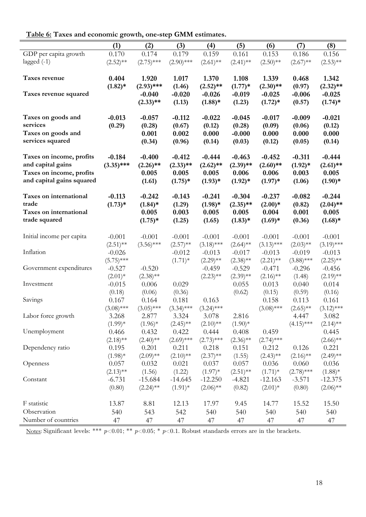| Table 6: Taxes and economic growth, one-step GMM estimates. |  |
|-------------------------------------------------------------|--|
|-------------------------------------------------------------|--|

|                                        | (1)          | (2)          | (3)             | (4)          | (5)         | (6)          | (7)          | (8)          |
|----------------------------------------|--------------|--------------|-----------------|--------------|-------------|--------------|--------------|--------------|
| GDP per capita growth                  | 0.170        | 0.174        | 0.179           | 0.159        | 0.161       | 0.153        | 0.186        | 0.156        |
| lagged $(-1)$                          | $(2.52)$ **  | $(2.75)$ *** | $(2.90)$ ***    | $(2.61)$ **  | $(2.41)$ ** | $(2.50)$ **  | $(2.67)$ **  | $(2.53)$ **  |
|                                        |              |              |                 |              |             |              |              |              |
| Taxes revenue                          | 0.404        | 1.920        | 1.017           | 1.370        | 1.108       | 1.339        | 0.468        | 1.342        |
|                                        | $(1.82)*$    | $(2.93)$ *** | (1.46)          | $(2.52)$ **  | $(1.77)*$   | $(2.30)$ **  | (0.97)       | $(2.32)$ **  |
| Taxes revenue squared                  |              | $-0.040$     | $-0.020$        | $-0.026$     | $-0.019$    | $-0.025$     | $-0.006$     | $-0.025$     |
|                                        |              | $(2.33)$ **  | (1.13)          | $(1.88)*$    | (1.23)      | $(1.72)*$    | (0.57)       | $(1.74)$ *   |
| Taxes on goods and                     | $-0.013$     | $-0.057$     | $-0.112$        | $-0.022$     | $-0.045$    | $-0.017$     | $-0.009$     | $-0.021$     |
| services                               |              |              | (0.67)          | (0.12)       | (0.28)      | (0.09)       | (0.06)       | (0.12)       |
|                                        | (0.29)       | (0.28)       |                 |              |             |              |              |              |
| Taxes on goods and<br>services squared |              | 0.001        | 0.002           | 0.000        | $-0.000$    | 0.000        | 0.000        | 0.000        |
|                                        |              | (0.34)       | (0.96)          | (0.14)       | (0.03)      | (0.12)       | (0.05)       | (0.14)       |
| Taxes on income, profits               | $-0.184$     | $-0.400$     | $-0.412$        | $-0.444$     | $-0.463$    | $-0.452$     | $-0.311$     | $-0.444$     |
| and capital gains                      | $(3.35)$ *** | $(2.26)$ **  | $(2.33)$ **     | $(2.62)$ **  | $(2.39)$ ** | $(2.60)$ **  | $(1.92)*$    | $(2.61)$ **  |
| Taxes on income, profits               |              | 0.005        | 0.005           | 0.005        | 0.006       | 0.006        | 0.003        | 0.005        |
| and capital gains squared              |              | (1.61)       | $(1.75)*$       | $(1.93)*$    | $(1.92)*$   | $(1.97)*$    | (1.06)       | $(1.90)*$    |
| Taxes on international                 | $-0.113$     | $-0.242$     | $-0.143$        | $-0.241$     | $-0.304$    | $-0.237$     | $-0.082$     | $-0.244$     |
| trade                                  | $(1.73)*$    | $(1.84)$ *   |                 | $(1.98)*$    | $(2.35)$ ** | $(2.00)*$    | (0.82)       | $(2.04)$ **  |
| Taxes on international                 |              | 0.005        | (1.29)<br>0.003 | 0.005        | 0.005       | 0.004        | 0.001        | 0.005        |
| trade squared                          |              |              |                 |              |             |              |              |              |
|                                        |              | $(1.75)*$    | (1.25)          | (1.65)       | $(1.83)*$   | $(1.69)*$    | (0.36)       | $(1.68)*$    |
| Initial income per capita              | $-0.001$     | $-0.001$     | $-0.001$        | $-0.001$     | $-0.001$    | $-0.001$     | $-0.001$     | $-0.001$     |
|                                        | $(2.51)$ **  | $(3.56)$ *** | $(2.57)$ **     | $(3.18)$ *** | $(2.64)$ ** | $(3.13)$ *** | $(2.03)$ **  | $(3.19)$ *** |
| Inflation                              | $-0.026$     |              | $-0.012$        | $-0.013$     | $-0.017$    | $-0.013$     | $-0.019$     | $-0.013$     |
|                                        | $(5.75)$ *** |              | $(1.71)*$       | $(2.29)$ **  | $(2.38)$ ** | $(2.21)$ **  | $(3.88)$ *** | $(2.25)$ **  |
| Government expenditures                | $-0.527$     | $-0.520$     |                 | $-0.459$     | $-0.529$    | $-0.471$     | $-0.296$     | $-0.456$     |
|                                        | $(2.01)*$    | $(2.38)$ **  |                 | $(2.23)$ **  | $(2.39)$ ** | $(2.16)$ **  | (1.48)       | $(2.19)$ **  |
| Investment                             | $-0.015$     | 0.006        | 0.029           |              | 0.055       | 0.013        | 0.040        | 0.014        |
|                                        | (0.18)       | (0.06)       | (0.36)          |              | (0.62)      | (0.15)       | (0.59)       | (0.16)       |
| Savings                                | 0.167        | 0.164        | 0.181           | 0.163        |             | 0.158        | 0.113        | 0.161        |
|                                        | $(3.08)$ *** | $(3.05)$ *** | $(3.34)$ ***    | $(3.24)$ *** |             | $(3.08)$ *** | $(2.65)$ **  | $(3.12)$ *** |
| Labor force growth                     | 3.268        | 2.877        | 3.324           | 3.078        | 2.816       |              | 4.447        | 3.082        |
|                                        | $(1.99)*$    | $(1.96)$ *   | $(2.45)$ **     | $(2.10)$ **  | $(1.90)*$   |              | $(4.15)$ *** | $(2.14)$ **  |
| Unemployment                           | 0.466        | 0.432        | 0.422           | 0.444        | 0.408       | 0.459        |              | 0.445        |
|                                        | $(2.18)$ **  | $(2.40)$ **  | $(2.69)$ ***    | $(2.73)$ *** | $(2.36)$ ** | $(2.74)$ *** |              | $(2.66)$ **  |
| Dependency ratio                       | 0.195        | 0.201        | 0.211           | 0.218        | 0.151       | 0.212        | 0.126        | 0.221        |
|                                        | $(1.98)*$    | $(2.09)$ **  | $(2.10)$ **     | $(2.37)$ **  | (1.55)      | $(2.43)$ **  | $(2.16)$ **  | $(2.49)$ **  |
| Openness                               | 0.057        | 0.032        | 0.021           | 0.037        | 0.057       | 0.036        | 0.060        | 0.036        |
|                                        | $(2.13)$ **  | (1.56)       | (1.22)          | $(1.97)$ *   | $(2.51)$ ** | $(1.71)^*$   | $(2.78)$ *** | $(1.88)$ *   |
| Constant                               | $-6.731$     | $-15.684$    | $-14.645$       | $-12.250$    | $-4.821$    | $-12.163$    | $-3.571$     | $-12.375$    |
|                                        | (0.80)       | $(2.24)$ **  | $(1.91)$ *      | $(2.06)$ **  | (0.82)      | $(2.01)*$    | (0.80)       | $(2.06)$ **  |
|                                        |              |              |                 |              |             |              |              |              |
| F statistic                            | 13.87        | 8.81         | 12.13           | 17.97        | 9.45        | 14.77        | 15.52        | 15.50        |
| Observation                            | 540          | 543          | 542             | 540          | 540         | 540          | 540          | 540          |
| Number of countries                    | 47           | 47           | 47              | 47           | 47          | 47           | 47           | 47           |

Notes: Significant levels: \*\*\* *p*<0.01; \*\* *p*<0.05; \* *p*<0.1. Robust standards errors are in the brackets.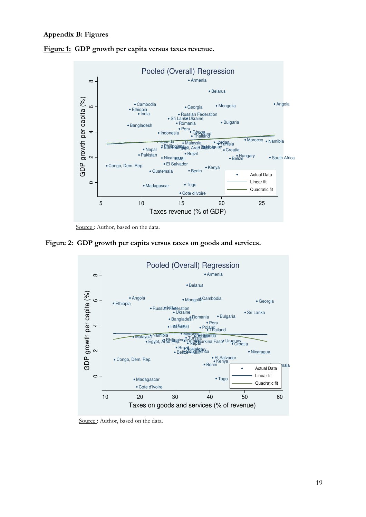#### **Appendix B: Figures**





Source : Author, based on the data.





Source: Author, based on the data.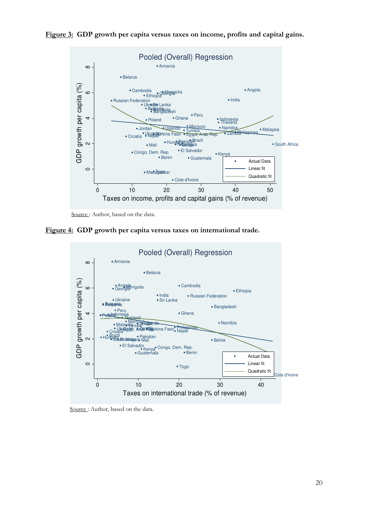



Source: Author, based on the data.

 **Figure 4: GDP growth per capita versus taxes on international trade.** 



Source: Author, based on the data.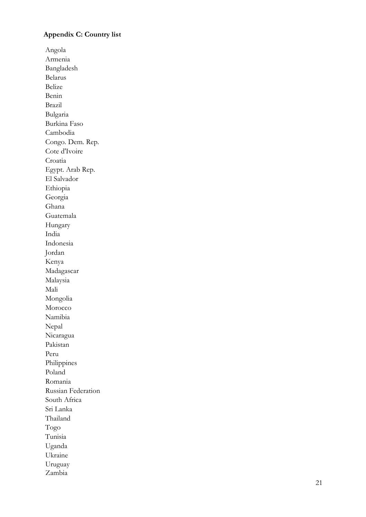## **Appendix C: Country list**

Angola Armenia Bangladesh Belarus Belize Benin Brazil Bulgaria Burkina Faso Cambodia Congo. Dem. Rep. Cote d'Ivoire Croatia Egypt. Arab Rep. El Salvador Ethiopia Georgia Ghana Guatemala Hungary India Indonesia Jordan Kenya Madagascar Malaysia Mali Mongolia Morocco Namibia Nepal Nicaragua Pakistan Peru Philippines Poland Romania Russian Federation South Africa Sri Lanka Thailand Togo Tunisia Uganda Ukraine Uruguay Zambia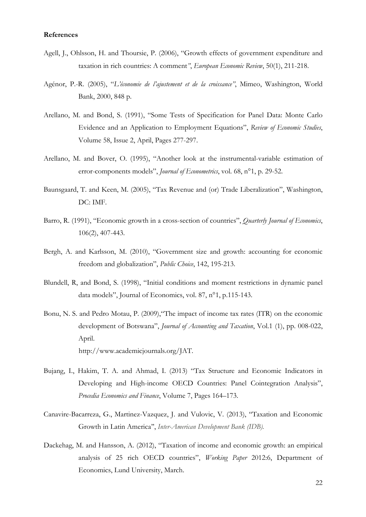#### **References**

- Agell, J., Ohlsson, H. and Thoursie, P. (2006), "Growth effects of government expenditure and taxation in rich countries: A comment*"*, *European Economic Review*, 50(1), 211-218.
- Agénor, P.-R. (2005), "*L'économie de l'ajustement et de la croissance"*, Mimeo, Washington, World Bank, 2000, 848 p.
- Arellano, M. and Bond, S. (1991), "Some Tests of Specification for Panel Data: Monte Carlo Evidence and an Application to Employment Equations", *Review of Economic Studies*, Volume 58, Issue 2, April, Pages 277-297.
- Arellano, M. and Bover, O. (1995), "Another look at the instrumental-variable estimation of error-components models", *Journal of Econometrics*, vol. 68, n°1, p. 29-52.
- Baunsgaard, T. and Keen, M. (2005), "Tax Revenue and (or) Trade Liberalization", Washington, DC: IMF.
- Barro, R. (1991), "Economic growth in a cross-section of countries", *Quarterly Journal of Economics*, 106(2), 407-443.
- Bergh, A. and Karlsson, M. (2010), "Government size and growth: accounting for economic freedom and globalization", *Public Choice*, 142, 195-213.
- Blundell, R, and Bond, S. (1998), "Initial conditions and moment restrictions in dynamic panel data models", Journal of Economics, vol. 87, n°1, p.115-143.
- Bonu, N. S. and Pedro Motau, P. (2009),"The impact of income tax rates (ITR) on the economic development of Botswana", *Journal of Accounting and Taxation*, Vol.1 (1), pp. 008-022, April. http://www.academicjournals.org/JAT.
- Bujang, I., Hakim, T. A. and Ahmad, I. (2013) "Tax Structure and Economic Indicators in Developing and High-income OECD Countries: Panel Cointegration Analysis", *Procedia Economics and Finance*, Volume 7, Pages 164–173.
- Canavire-Bacarreza, G., Martinez-Vazquez, J. and Vulovic, V. (2013), ''Taxation and Economic Growth in Latin America'', *Inter-American Development Bank (IDB).*
- Dackehag, M. and Hansson, A. (2012), "Taxation of income and economic growth: an empirical analysis of 25 rich OECD countries", *Working Paper* 2012:6, Department of Economics, Lund University, March.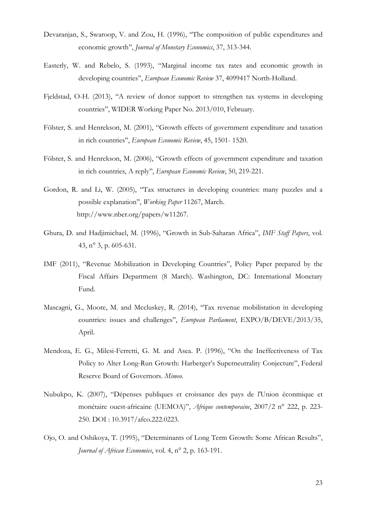- Devaranjan, S., Swaroop, V. and Zou, H. (1996), ''The composition of public expenditures and economic growth'', *Journal of Monetary Economics*, 37, 313-344.
- Easterly, W. and Rebelo, S. (1993), "Marginal income tax rates and economic growth in developing countries'', *European Economic Review* 37, 4099417 North-Holland.
- Fjeldstad, O-H. (2013), ''A review of donor support to strengthen tax systems in developing countries'', WIDER Working Paper No. 2013/010, February.
- Fölster, S. and Henrekson, M. (2001), "Growth effects of government expenditure and taxation in rich countries'', *European Economic Review*, 45, 1501- 1520.
- Fölster, S. and Henrekson, M. (2006), "Growth effects of government expenditure and taxation in rich countries, A reply'', *European Economic Review*, 50, 219-221.
- Gordon, R. and Li, W. (2005), "Tax structures in developing countries: many puzzles and a possible explanation'', *Working Paper* 11267, March. http://www.nber.org/papers/w11267.
- Ghura, D. and Hadjimichael, M. (1996), "Growth in Sub-Saharan Africa", *IMF Staff Papers*, vol. 43, n° 3, p. 605-631.
- IMF (2011), "Revenue Mobilization in Developing Countries", Policy Paper prepared by the Fiscal Affairs Department (8 March). Washington, DC: International Monetary Fund.
- Mascagni, G., Moore, M. and Mccluskey, R. (2014), ''Tax revenue mobilistation in developing countries: issues and challenges'', *European Parliament*, EXPO/B/DEVE/2013/35, April.
- Mendoza, E. G., Milesi-Ferretti, G. M. and Asea. P. (1996), "On the Ineffectiveness of Tax Policy to Alter Long-Run Growth: Harberger's Superneutrality Conjecture", Federal Reserve Board of Governors. *Mimeo*.
- Nubukpo, K. (2007), "Dépenses publiques et croissance des pays de l'Union éconmique et monétaire ouest-africaine (UEMOA)", *Afrique contemporaine*, 2007/2 n° 222, p. 223- 250. DOI : 10.3917/afco.222.0223.
- Ojo, O. and Oshikoya, T. (1995), "Determinants of Long Term Growth: Some African Results", *Journal of African Economies*, vol. 4, n° 2, p. 163-191.